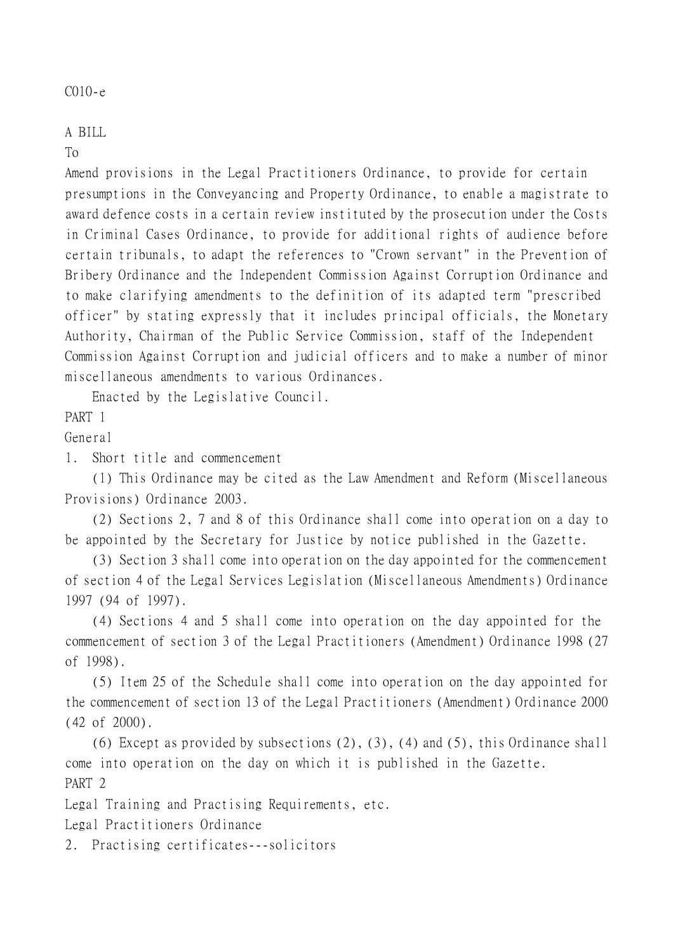## C010-e

## A BILL

To

Amend provisions in the Legal Practitioners Ordinance, to provide for certain presumptions in the Conveyancing and Property Ordinance, to enable a magistrate to award defence costs in a certain review instituted by the prosecution under the Costs in Criminal Cases Ordinance, to provide for additional rights of audience before certain tribunals, to adapt the references to "Crown servant" in the Prevention of Bribery Ordinance and the Independent Commission Against Corruption Ordinance and to make clarifying amendments to the definition of its adapted term "prescribed officer" by stating expressly that it includes principal officials, the Monetary Authority, Chairman of the Public Service Commission, staff of the Independent Commission Against Corruption and judicial officers and to make a number of minor miscellaneous amendments to various Ordinances.

Enacted by the Legislative Council.

PART 1

General

1. Short title and commencement

(1) This Ordinance may be cited as the Law Amendment and Reform (Miscellaneous Provisions) Ordinance 2003.

(2) Sections 2, 7 and 8 of this Ordinance shall come into operation on a day to be appointed by the Secretary for Justice by notice published in the Gazette.

(3) Section 3 shall come into operation on the day appointed for the commencement of section 4 of the Legal Services Legislation (Miscellaneous Amendments) Ordinance 1997 (94 of 1997).

(4) Sections 4 and 5 shall come into operation on the day appointed for the commencement of section 3 of the Legal Practitioners (Amendment) Ordinance 1998 (27 of 1998).

(5) Item 25 of the Schedule shall come into operation on the day appointed for the commencement of section 13 of the Legal Practitioners (Amendment) Ordinance 2000 (42 of 2000).

(6) Except as provided by subsections (2), (3), (4) and (5), this Ordinance shall come into operation on the day on which it is published in the Gazette. PART 2

Legal Training and Practising Requirements, etc.

Legal Practitioners Ordinance

2. Practising certificates---solicitors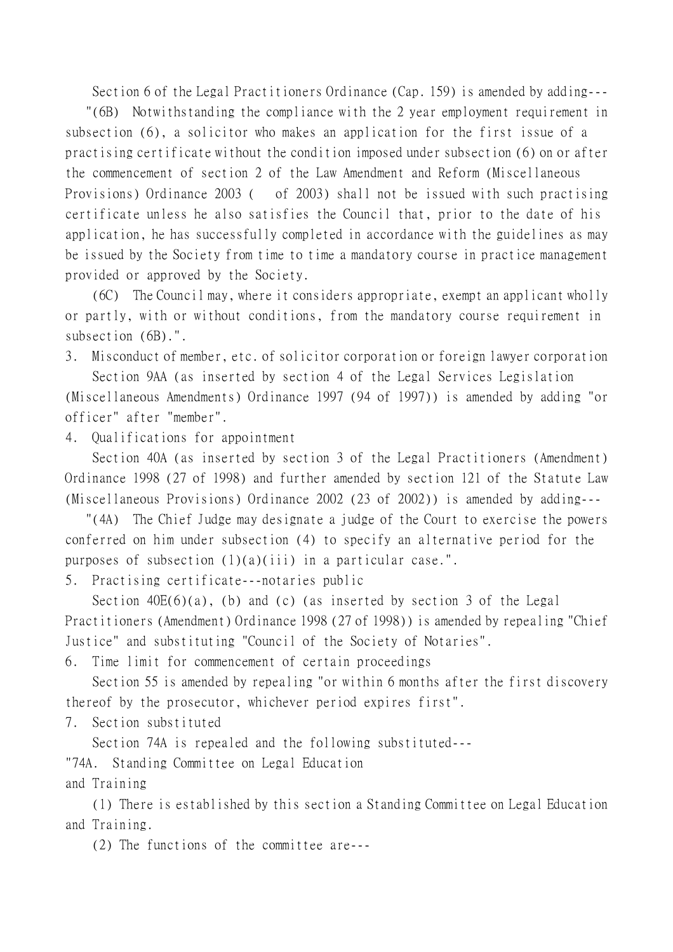Section 6 of the Legal Practitioners Ordinance (Cap. 159) is amended by adding---

 "(6B) Notwithstanding the compliance with the 2 year employment requirement in subsection (6), a solicitor who makes an application for the first issue of a practising certificate without the condition imposed under subsection (6) on or after the commencement of section 2 of the Law Amendment and Reform (Miscellaneous Provisions) Ordinance 2003 ( of 2003) shall not be issued with such practising certificate unless he also satisfies the Council that, prior to the date of his application, he has successfully completed in accordance with the guidelines as may be issued by the Society from time to time a mandatory course in practice management provided or approved by the Society.

(6C) The Council may, where it considers appropriate, exempt an applicant wholly or partly, with or without conditions, from the mandatory course requirement in subsection (6B).".

3. Misconduct of member, etc. of solicitor corporation or foreign lawyer corporation

Section 9AA (as inserted by section 4 of the Legal Services Legislation (Miscellaneous Amendments) Ordinance 1997 (94 of 1997)) is amended by adding "or officer" after "member".

4. Qualifications for appointment

Section 40A (as inserted by section 3 of the Legal Practitioners (Amendment) Ordinance 1998 (27 of 1998) and further amended by section 121 of the Statute Law (Miscellaneous Provisions) Ordinance 2002 (23 of 2002)) is amended by adding---

 "(4A) The Chief Judge may designate a judge of the Court to exercise the powers conferred on him under subsection (4) to specify an alternative period for the purposes of subsection (1)(a)(iii) in a particular case.".

5. Practising certificate---notaries public

Section  $40E(6)(a)$ , (b) and (c) (as inserted by section 3 of the Legal Practitioners (Amendment) Ordinance 1998 (27 of 1998)) is amended by repealing "Chief Justice" and substituting "Council of the Society of Notaries".

6. Time limit for commencement of certain proceedings

Section 55 is amended by repealing "or within 6 months after the first discovery thereof by the prosecutor, whichever period expires first".

7. Section substituted

Section 74A is repealed and the following substituted---

"74A. Standing Committee on Legal Education

and Training

(1) There is established by this section a Standing Committee on Legal Education and Training.

(2) The functions of the committee are---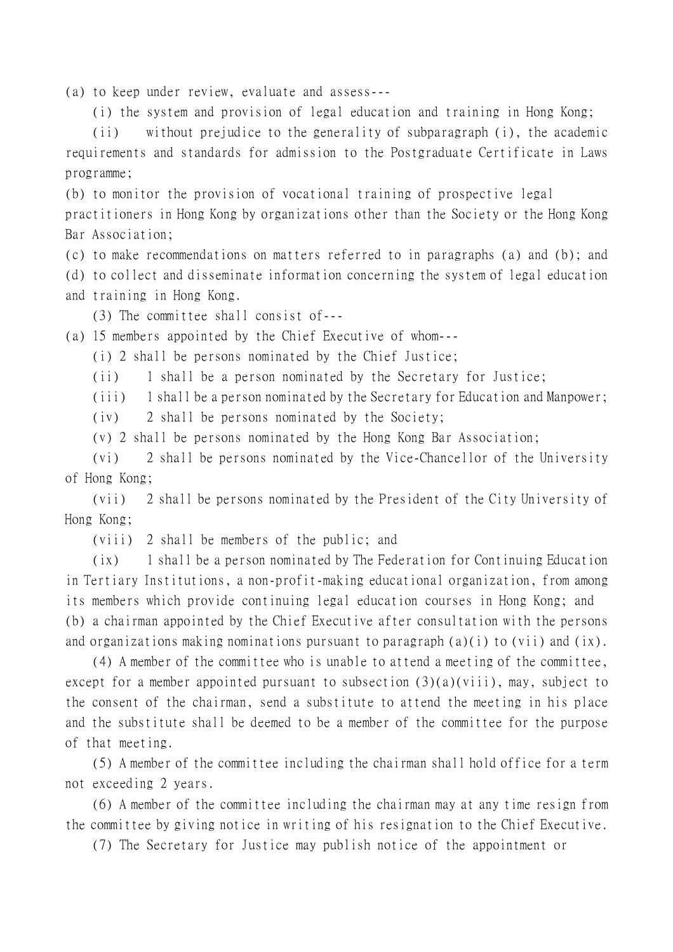(a) to keep under review, evaluate and assess---

(i) the system and provision of legal education and training in Hong Kong;

(ii) without prejudice to the generality of subparagraph (i), the academic requirements and standards for admission to the Postgraduate Certificate in Laws programme;

(b) to monitor the provision of vocational training of prospective legal

practitioners in Hong Kong by organizations other than the Society or the Hong Kong Bar Association;

(c) to make recommendations on matters referred to in paragraphs (a) and (b); and

(d) to collect and disseminate information concerning the system of legal education and training in Hong Kong.

(3) The committee shall consist of---

(a) 15 members appointed by the Chief Executive of whom---

(i) 2 shall be persons nominated by the Chief Justice;

(ii) 1 shall be a person nominated by the Secretary for Justice;

(iii) 1 shall be a person nominated by the Secretary for Education and Manpower;

(iv) 2 shall be persons nominated by the Society;

(v) 2 shall be persons nominated by the Hong Kong Bar Association;

(vi) 2 shall be persons nominated by the Vice-Chancellor of the University of Hong Kong;

(vii) 2 shall be persons nominated by the President of the City University of Hong Kong;

(viii) 2 shall be members of the public; and

(ix) 1 shall be a person nominated by The Federation for Continuing Education in Tertiary Institutions, a non-profit-making educational organization, from among its members which provide continuing legal education courses in Hong Kong; and (b) a chairman appointed by the Chief Executive after consultation with the persons and organizations making nominations pursuant to paragraph  $(a)(i)$  to  $(vii)$  and  $(ix)$ .

(4) A member of the committee who is unable to attend a meeting of the committee, except for a member appointed pursuant to subsection (3)(a)(viii), may, subject to the consent of the chairman, send a substitute to attend the meeting in his place and the substitute shall be deemed to be a member of the committee for the purpose of that meeting.

(5) A member of the committee including the chairman shall hold office for a term not exceeding 2 years.

(6) A member of the committee including the chairman may at any time resign from the committee by giving notice in writing of his resignation to the Chief Executive.

(7) The Secretary for Justice may publish notice of the appointment or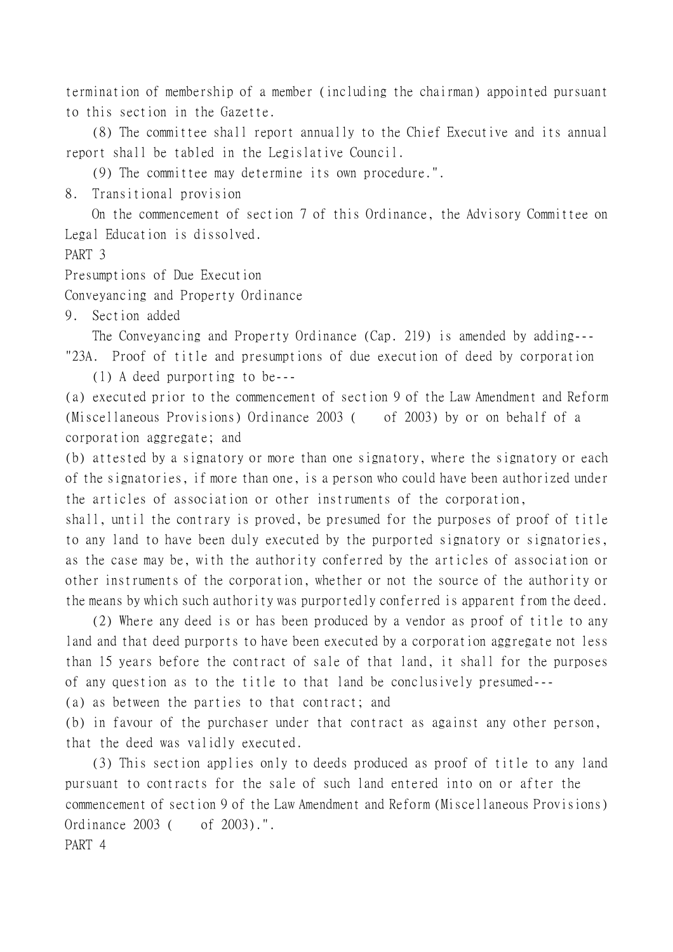termination of membership of a member (including the chairman) appointed pursuant to this section in the Gazette.

(8) The committee shall report annually to the Chief Executive and its annual report shall be tabled in the Legislative Council.

(9) The committee may determine its own procedure.".

8. Transitional provision

On the commencement of section 7 of this Ordinance, the Advisory Committee on Legal Education is dissolved.

PART 3

Presumptions of Due Execution

Conveyancing and Property Ordinance

9. Section added

The Conveyancing and Property Ordinance (Cap. 219) is amended by adding--- "23A. Proof of title and presumptions of due execution of deed by corporation

(1) A deed purporting to be---

(a) executed prior to the commencement of section 9 of the Law Amendment and Reform (Miscellaneous Provisions) Ordinance 2003 ( of 2003) by or on behalf of a corporation aggregate; and

(b) attested by a signatory or more than one signatory, where the signatory or each of the signatories, if more than one, is a person who could have been authorized under the articles of association or other instruments of the corporation,

shall, until the contrary is proved, be presumed for the purposes of proof of title to any land to have been duly executed by the purported signatory or signatories, as the case may be, with the authority conferred by the articles of association or other instruments of the corporation, whether or not the source of the authority or the means by which such authority was purportedly conferred is apparent from the deed.

(2) Where any deed is or has been produced by a vendor as proof of title to any land and that deed purports to have been executed by a corporation aggregate not less than 15 years before the contract of sale of that land, it shall for the purposes of any question as to the title to that land be conclusively presumed---

(a) as between the parties to that contract; and

(b) in favour of the purchaser under that contract as against any other person, that the deed was validly executed.

(3) This section applies only to deeds produced as proof of title to any land pursuant to contracts for the sale of such land entered into on or after the commencement of section 9 of the Law Amendment and Reform (Miscellaneous Provisions) Ordinance 2003 ( of 2003).". PART 4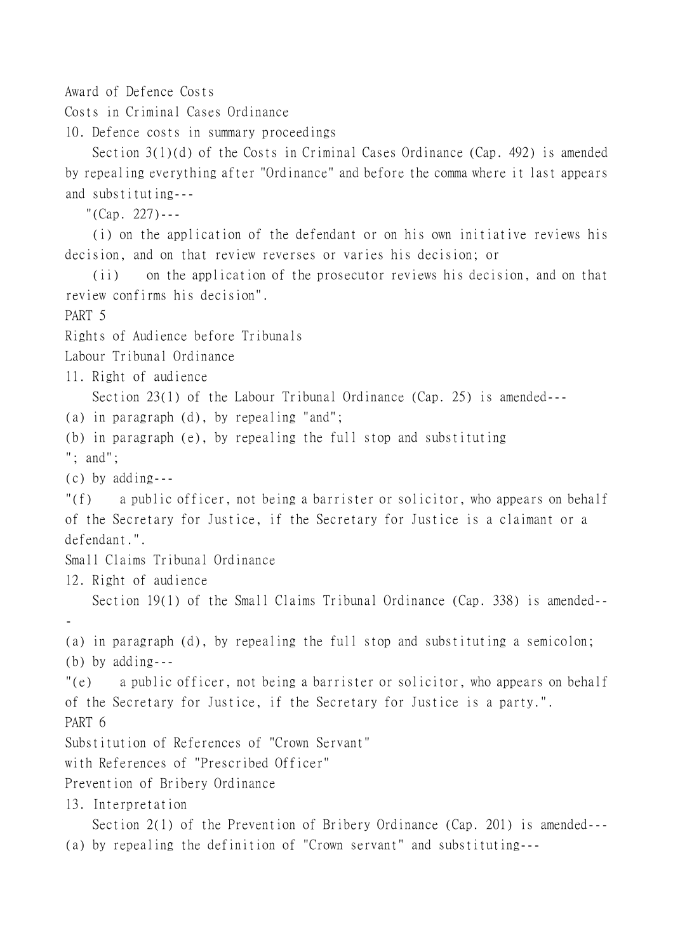Award of Defence Costs

Costs in Criminal Cases Ordinance

10. Defence costs in summary proceedings

Section 3(1)(d) of the Costs in Criminal Cases Ordinance (Cap. 492) is amended by repealing everything after "Ordinance" and before the comma where it last appears and substituting---

"(Cap. 227)---

(i) on the application of the defendant or on his own initiative reviews his decision, and on that review reverses or varies his decision; or

(ii) on the application of the prosecutor reviews his decision, and on that review confirms his decision". PART 5 Rights of Audience before Tribunals Labour Tribunal Ordinance 11. Right of audience Section 23(1) of the Labour Tribunal Ordinance (Cap. 25) is amended--- (a) in paragraph (d), by repealing "and"; (b) in paragraph (e), by repealing the full stop and substituting "; and"; (c) by adding--- "(f) a public officer, not being a barrister or solicitor, who appears on behalf of the Secretary for Justice, if the Secretary for Justice is a claimant or a defendant.". Small Claims Tribunal Ordinance 12. Right of audience Section 19(1) of the Small Claims Tribunal Ordinance (Cap. 338) is amended-- - (a) in paragraph (d), by repealing the full stop and substituting a semicolon; (b) by adding--- "(e) a public officer, not being a barrister or solicitor, who appears on behalf of the Secretary for Justice, if the Secretary for Justice is a party.". PART 6 Substitution of References of "Crown Servant" with References of "Prescribed Officer" Prevention of Bribery Ordinance 13. Interpretation Section 2(1) of the Prevention of Bribery Ordinance (Cap. 201) is amended--- (a) by repealing the definition of "Crown servant" and substituting---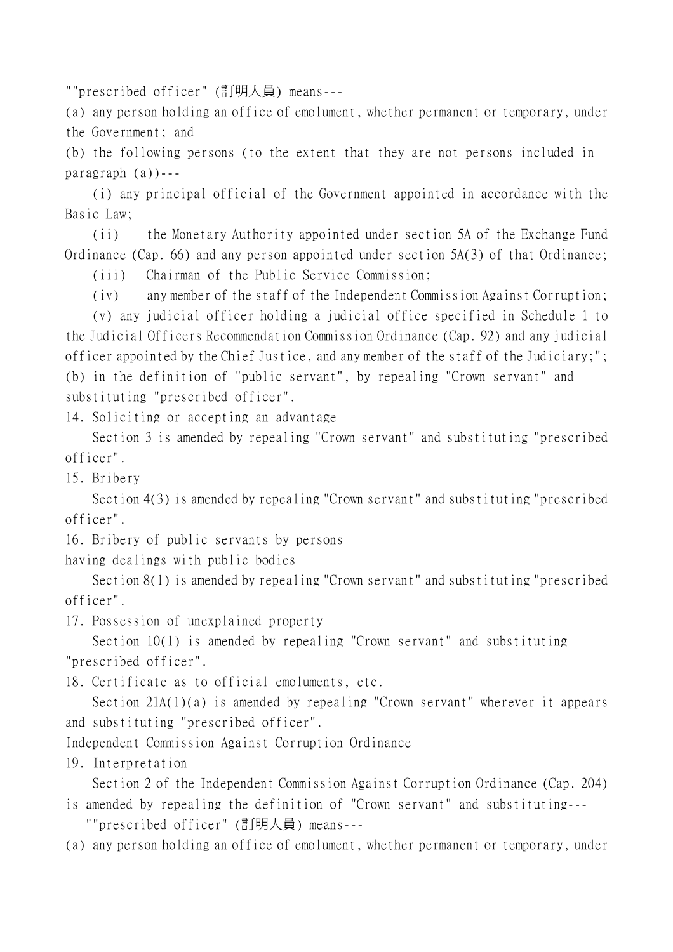""prescribed officer" (訂明㆟員) means---

(a) any person holding an office of emolument, whether permanent or temporary, under the Government; and

(b) the following persons (to the extent that they are not persons included in paragraph (a))---

(i) any principal official of the Government appointed in accordance with the Basic Law;

(ii) the Monetary Authority appointed under section 5A of the Exchange Fund Ordinance (Cap. 66) and any person appointed under section 5A(3) of that Ordinance;

(iii) Chairman of the Public Service Commission;

(iv) any member of the staff of the Independent Commission Against Corruption;

(v) any judicial officer holding a judicial office specified in Schedule 1 to the Judicial Officers Recommendation Commission Ordinance (Cap. 92) and any judicial officer appointed by the Chief Justice, and any member of the staff of the Judiciary;"; (b) in the definition of "public servant", by repealing "Crown servant" and substituting "prescribed officer".

14. Soliciting or accepting an advantage

Section 3 is amended by repealing "Crown servant" and substituting "prescribed officer".

15. Bribery

Section 4(3) is amended by repealing "Crown servant" and substituting "prescribed officer".

16. Bribery of public servants by persons

having dealings with public bodies

Section 8(1) is amended by repealing "Crown servant" and substituting "prescribed officer".

17. Possession of unexplained property

Section 10(1) is amended by repealing "Crown servant" and substituting "prescribed officer".

18. Certificate as to official emoluments, etc.

Section 21A(1)(a) is amended by repealing "Crown servant" wherever it appears and substituting "prescribed officer".

Independent Commission Against Corruption Ordinance

19. Interpretation

Section 2 of the Independent Commission Against Corruption Ordinance (Cap. 204)

is amended by repealing the definition of "Crown servant" and substituting--- ""prescribed officer" (訂明㆟員) means---

(a) any person holding an office of emolument, whether permanent or temporary, under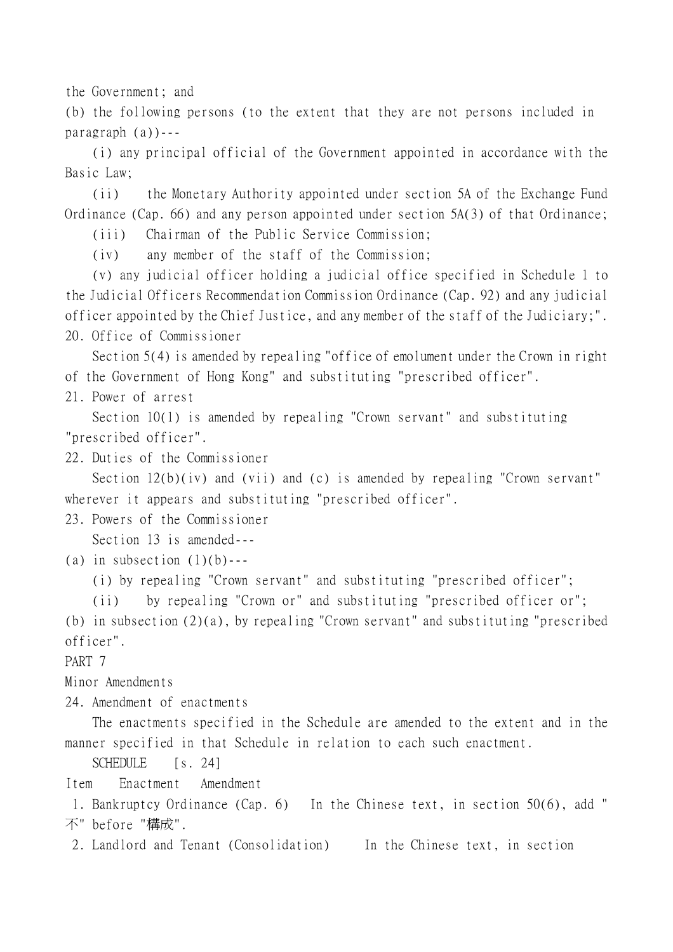the Government; and

(b) the following persons (to the extent that they are not persons included in paragraph (a))---

(i) any principal official of the Government appointed in accordance with the Basic Law;

(ii) the Monetary Authority appointed under section 5A of the Exchange Fund Ordinance (Cap. 66) and any person appointed under section 5A(3) of that Ordinance;

(iii) Chairman of the Public Service Commission;

(iv) any member of the staff of the Commission;

(v) any judicial officer holding a judicial office specified in Schedule 1 to the Judicial Officers Recommendation Commission Ordinance (Cap. 92) and any judicial officer appointed by the Chief Justice, and any member of the staff of the Judiciary;". 20. Office of Commissioner

Section 5(4) is amended by repealing "office of emolument under the Crown in right of the Government of Hong Kong" and substituting "prescribed officer".

21. Power of arrest

Section 10(1) is amended by repealing "Crown servant" and substituting "prescribed officer".

22. Duties of the Commissioner

Section 12(b)(iv) and (vii) and (c) is amended by repealing "Crown servant" wherever it appears and substituting "prescribed officer".

23. Powers of the Commissioner

Section 13 is amended---

(a) in subsection  $(1)(b)$ ---

(i) by repealing "Crown servant" and substituting "prescribed officer";

(ii) by repealing "Crown or" and substituting "prescribed officer or";

(b) in subsection (2)(a), by repealing "Crown servant" and substituting "prescribed officer".

PART 7

Minor Amendments

24. Amendment of enactments

The enactments specified in the Schedule are amended to the extent and in the manner specified in that Schedule in relation to each such enactment.

SCHEDULE [s. 24]

Item Enactment Amendment

 1. Bankruptcy Ordinance (Cap. 6) In the Chinese text, in section 50(6), add " 不" before "構成".

2. Landlord and Tenant (Consolidation) In the Chinese text, in section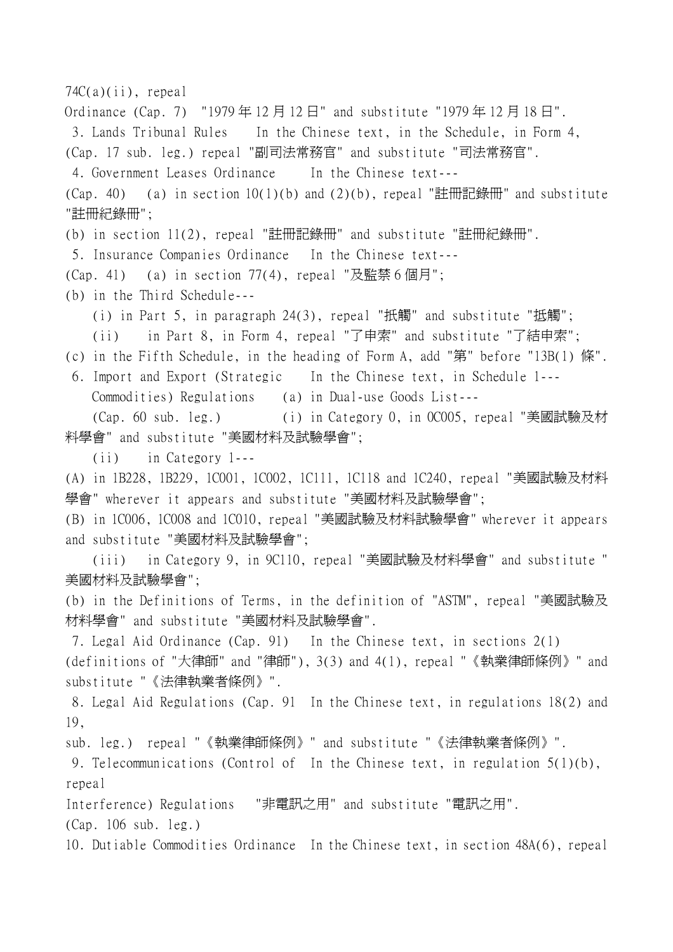74C(a)(ii), repeal Ordinance (Cap. 7) "1979年12月12日" and substitute "1979年12月18日". 3. Lands Tribunal Rules In the Chinese text, in the Schedule, in Form 4, (Cap. 17 sub. leg.) repeal "副司法常務官" and substitute "司法常務官". 4. Government Leases Ordinance In the Chinese text--- (Cap. 40) (a) in section  $10(1)(b)$  and  $(2)(b)$ , repeal "註冊記錄冊" and substitute "註冊紀錄冊"; (b) in section 11(2), repeal "註冊記錄冊" and substitute "註冊紀錄冊". 5. Insurance Companies Ordinance In the Chinese text--- (Cap. 41) (a) in section 77(4), repeal "及監禁 6 個月"; (b) in the Third Schedule--- (i) in Part 5, in paragraph 24(3), repeal "扺觸" and substitute "抵觸"; (ii) in Part 8, in Form 4, repeal "了申索" and substitute "了結申索"; (c) in the Fifth Schedule, in the heading of Form A, add "第" before "13B(1) 條". 6. Import and Export (Strategic In the Chinese text, in Schedule 1--- Commodities) Regulations (a) in Dual-use Goods List--- (Cap. 60 sub. leg.) (i) in Category 0, in 0C005, repeal "美國試驗及材 料學會" and substitute "美國材料及試驗學會"; (ii) in Category 1--- (A) in 1B228, 1B229, 1C001, 1C002, 1C111, 1C118 and 1C240, repeal "美國試驗及材料 學會" wherever it appears and substitute "美國材料及試驗學會"; (B) in 1C006, 1C008 and 1C010, repeal "美國試驗及材料試驗學會" wherever it appears and substitute "美國材料及試驗學會"; (iii) in Category 9, in 9C110, repeal "美國試驗及材料學會" and substitute " 美國材料及試驗學會"; (b) in the Definitions of Terms, in the definition of "ASTM", repeal "美國試驗及 材料學會" and substitute "美國材料及試驗學會". 7. Legal Aid Ordinance (Cap. 91) In the Chinese text, in sections 2(1) (definitions of "大律師" and "律師"), 3(3) and 4(1), repeal "《執業律師條例》" and substitute "《法律執業者條例》". 8. Legal Aid Regulations (Cap. 91 In the Chinese text, in regulations 18(2) and 19, sub. leg.) repeal "《執業律師條例》" and substitute "《法律執業者條例》". 9. Telecommunications (Control of In the Chinese text, in regulation 5(1)(b), repeal Interference) Regulations "非電訊之用" and substitute "電訊之用". (Cap. 106 sub. leg.) 10. Dutiable Commodities Ordinance In the Chinese text, in section 48A(6), repeal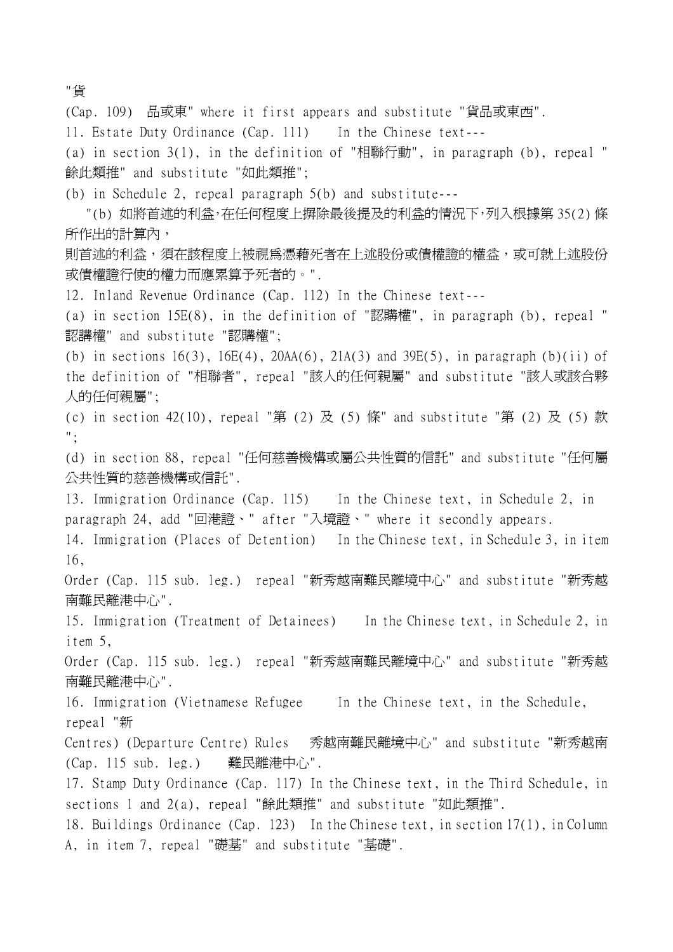"貨

(Cap. 109) 品或東" where it first appears and substitute "貨品或東西". 11. Estate Duty Ordinance (Cap. 111) In the Chinese text--- (a) in section 3(1), in the definition of "相聯行動", in paragraph (b), repeal " 餘此類推" and substitute "如此類推"; (b) in Schedule 2, repeal paragraph 5(b) and substitute--- "(b) 如將首述的利益,在任何程度上摒除最後提及的利益的情況下,列入根據第 35(2) 條 所作出的計算內, 則首述的利益,須在該程度上被視為憑藉死者在上述股份或債權證的權益,或可就上述股份 或債權證行使的權力而應累算予死者的。". 12. Inland Revenue Ordinance (Cap. 112) In the Chinese text--- (a) in section 15E(8), in the definition of "認購權", in paragraph (b), repeal " 認講權" and substitute "認購權"; (b) in sections  $16(3)$ ,  $16E(4)$ ,  $20AA(6)$ ,  $21A(3)$  and  $39E(5)$ , in paragraph (b)(ii) of the definition of "相聯者", repeal "該㆟的任何親屬" and substitute "該㆟或該合夥 人的任何親屬"; (c) in section 42(10), repeal "第 (2) 及 (5) 條" and substitute "第 (2) 及 (5) 款 "; (d) in section 88, repeal "任何慈善機構或屬公共性質的信託" and substitute "任何屬 公共性質的慈善機構或信託". 13. Immigration Ordinance (Cap. 115) In the Chinese text, in Schedule 2, in paragraph 24, add "回港證、" after "入境證、" where it secondly appears. 14. Immigration (Places of Detention) In the Chinese text, in Schedule 3, in item 16, Order (Cap. 115 sub. leg.) repeal "新秀越南難民離境中心" and substitute "新秀越 南難民離港中心". 15. Immigration (Treatment of Detainees) In the Chinese text, in Schedule 2, in item 5, Order (Cap. 115 sub. leg.) repeal "新秀越南難民離境中心" and substitute "新秀越 南難民離港中心". 16. Immigration (Vietnamese Refugee In the Chinese text, in the Schedule, repeal "新 Centres) (Departure Centre) Rules 秀越南難民離境中心" and substitute "新秀越南 (Cap. 115 sub. leg.) 難民離港中心". 17. Stamp Duty Ordinance (Cap. 117) In the Chinese text, in the Third Schedule, in sections 1 and 2(a), repeal "餘此類推" and substitute "如此類推". 18. Buildings Ordinance (Cap. 123) In the Chinese text, in section 17(1), in Column A, in item 7, repeal "礎基" and substitute "基礎".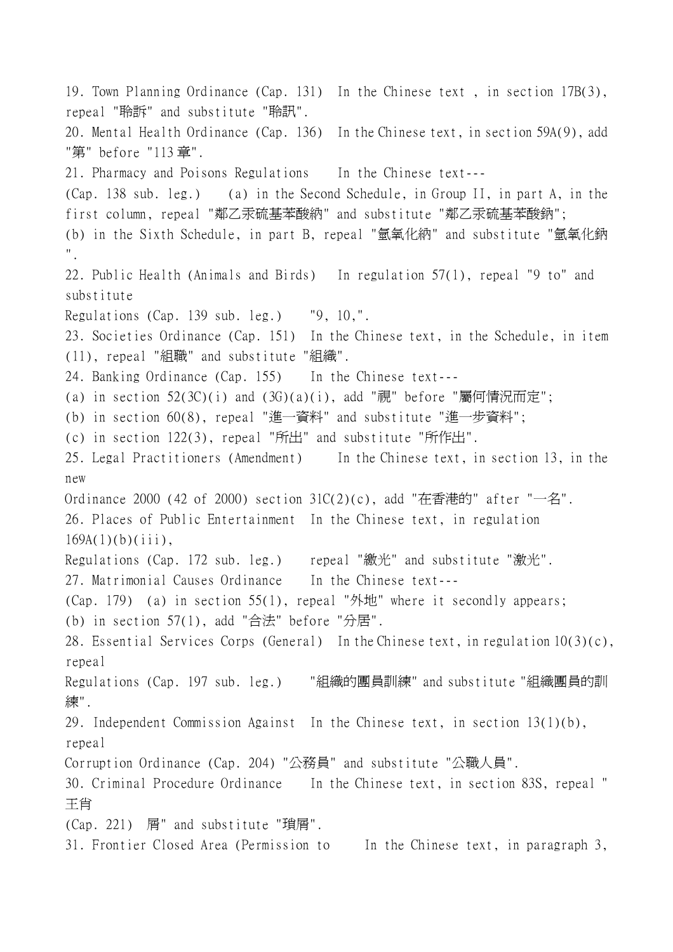19. Town Planning Ordinance (Cap. 131) In the Chinese text , in section 17B(3), repeal "聆訴" and substitute "聆訊". 20. Mental Health Ordinance (Cap. 136) In the Chinese text, in section 59A(9), add "第" before "113 章". 21. Pharmacy and Poisons Regulations In the Chinese text--- (Cap. 138 sub. leg.) (a) in the Second Schedule, in Group II, in part A, in the first column, repeal "鄰乙汞硫基苯酸納" and substitute "鄰乙汞硫基苯酸鈉"; (b) in the Sixth Schedule, in part B, repeal "氫氧化納" and substitute "氫氧化鈉 ". 22. Public Health (Animals and Birds) In regulation 57(1), repeal "9 to" and substitute Regulations (Cap. 139 sub. leg.) "9, 10,". 23. Societies Ordinance (Cap. 151) In the Chinese text, in the Schedule, in item (11), repeal "組職" and substitute "組織". 24. Banking Ordinance (Cap. 155) In the Chinese text--- (a) in section  $52(3C)(i)$  and  $(3G)(a)(i)$ , add "視" before "屬何情況而定"; (b) in section 60(8), repeal "進㆒資料" and substitute "進㆒步資料"; (c) in section 122(3), repeal "所出" and substitute "所作出". 25. Legal Practitioners (Amendment) In the Chinese text, in section 13, in the new Ordinance 2000 (42 of 2000) section  $31C(2)(c)$ , add "在香港的" after "一名". 26. Places of Public Entertainment In the Chinese text, in regulation  $169A(1)(b)(iii)$ , Regulations (Cap. 172 sub. leg.) repeal "繳光" and substitute "激光". 27. Matrimonial Causes Ordinance In the Chinese text--- (Cap. 179) (a) in section 55(1), repeal "外地" where it secondly appears; (b) in section  $57(1)$ , add "合法" before "分居". 28. Essential Services Corps (General) In the Chinese text, in regulation 10(3)(c), repeal Regulations (Cap. 197 sub. leg.) "組織的團員訓練" and substitute "組織團員的訓 練". 29. Independent Commission Against In the Chinese text, in section 13(1)(b), repeal Corruption Ordinance (Cap. 204) "公務員" and substitute "公職㆟員". 30. Criminal Procedure Ordinance In the Chinese text, in section 83S, repeal " 王肖 (Cap. 221) 屑" and substitute "瑣屑". 31. Frontier Closed Area (Permission to In the Chinese text, in paragraph 3,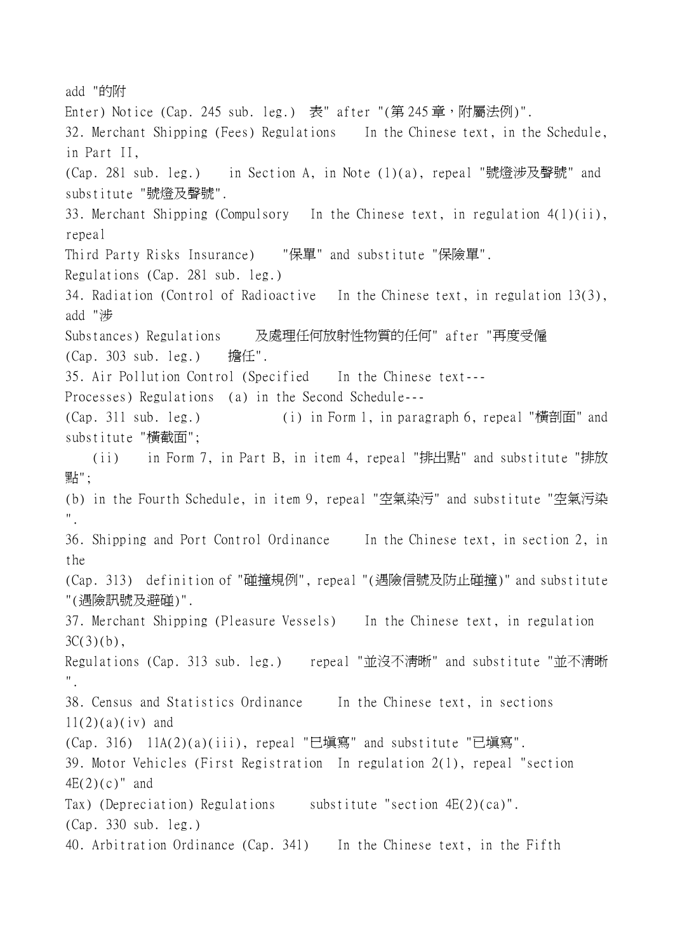add "的附 Enter) Notice (Cap. 245 sub. leg.) 表" after "(第 245 章, 附屬法例)". 32. Merchant Shipping (Fees) Regulations In the Chinese text, in the Schedule, in Part II, (Cap. 281 sub. leg.) in Section A, in Note (1)(a), repeal "號燈涉及聲號" and substitute "號燈及聲號". 33. Merchant Shipping (Compulsory In the Chinese text, in regulation 4(1)(ii), repeal Third Party Risks Insurance) "保單" and substitute "保險單". Regulations (Cap. 281 sub. leg.) 34. Radiation (Control of Radioactive In the Chinese text, in regulation 13(3), add "涉 Substances) Regulations 及處理任何放射性物質的任何" after "再度受僱 (Cap. 303 sub. leg.) 擔任". 35. Air Pollution Control (Specified In the Chinese text--- Processes) Regulations (a) in the Second Schedule--- (Cap. 311 sub. leg.) (i) in Form 1, in paragraph 6, repeal "橫剖面" and substitute "橫截面"; (ii) in Form 7, in Part B, in item 4, repeal "排出點" and substitute "排放 點"; (b) in the Fourth Schedule, in item 9, repeal "空氣染污" and substitute "空氣污染 ". 36. Shipping and Port Control Ordinance In the Chinese text, in section 2, in the (Cap. 313) definition of "碰撞規例", repeal "(遇險信號及防止碰撞)" and substitute "(遇險訊號及避碰)". 37. Merchant Shipping (Pleasure Vessels) In the Chinese text, in regulation  $3C(3)(b)$ , Regulations (Cap. 313 sub. leg.) repeal "並沒不清晰" and substitute "並不清晰 ". 38. Census and Statistics Ordinance In the Chinese text, in sections  $11(2)(a)(iv)$  and (Cap. 316) 11A(2)(a)(iii), repeal "巳填寫" and substitute "已填寫". 39. Motor Vehicles (First Registration In regulation 2(1), repeal "section  $4E(2)(c)$ " and Tax) (Depreciation) Regulations substitute "section  $4E(2)(ca)$ ". (Cap. 330 sub. leg.) 40. Arbitration Ordinance (Cap. 341) In the Chinese text, in the Fifth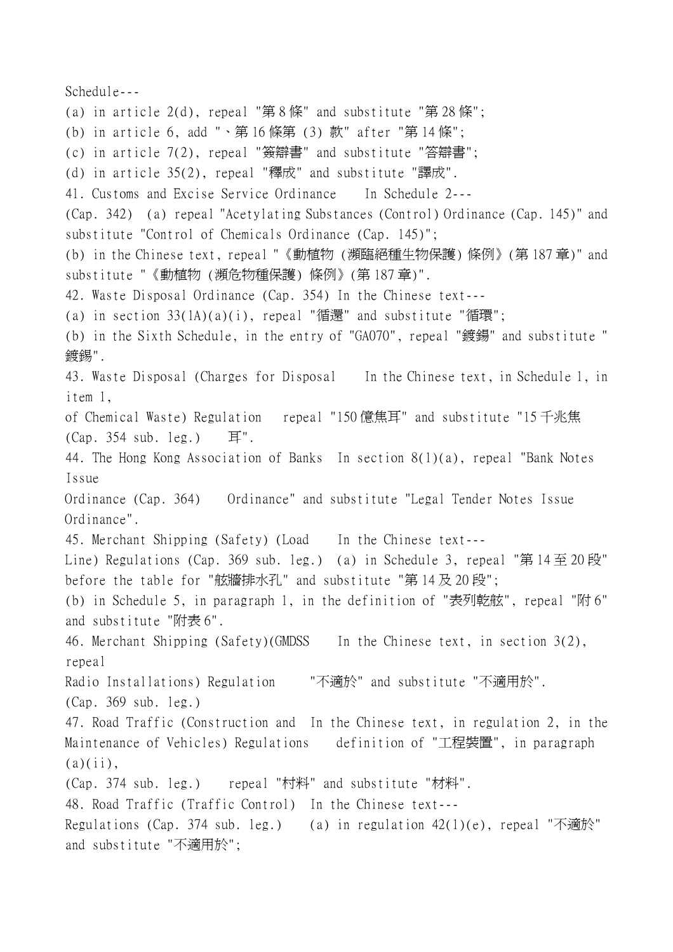Schedule--- (a) in article  $2(d)$ , repeal "第8條" and substitute "第28條"; (b) in article 6, add "、第 16 條第 (3) 款" after "第 14 條"; (c) in article 7(2), repeal "簽辯書" and substitute "答辯書"; (d) in article 35(2), repeal "釋成" and substitute "譯成". 41. Customs and Excise Service Ordinance In Schedule 2--- (Cap. 342) (a) repeal "Acetylating Substances (Control) Ordinance (Cap. 145)" and substitute "Control of Chemicals Ordinance (Cap. 145)"; (b) in the Chinese text, repeal "《動植物 (瀕臨絕種生物保護) 條例》(第 187 章)" and substitute "《動植物 (瀕危物種保護) 條例》(第 187 章)". 42. Waste Disposal Ordinance (Cap. 354) In the Chinese text--- (a) in section  $33(1A)(a)(i)$ , repeal "循還" and substitute "循環"; (b) in the Sixth Schedule, in the entry of "GA070", repeal "鍍鍚" and substitute " 鍍錫". 43. Waste Disposal (Charges for Disposal In the Chinese text, in Schedule 1, in item 1, of Chemical Waste) Regulation repeal "150 億焦耳" and substitute "15 千兆焦 (Cap. 354 sub. leg.) 耳". 44. The Hong Kong Association of Banks In section 8(1)(a), repeal "Bank Notes Issue Ordinance (Cap. 364) Ordinance" and substitute "Legal Tender Notes Issue Ordinance". 45. Merchant Shipping (Safety) (Load In the Chinese text--- Line) Regulations (Cap. 369 sub. leg.) (a) in Schedule 3, repeal "第 14 至 20 段" before the table for "舷牆排水孔" and substitute "第 14 及 20 段"; (b) in Schedule 5, in paragraph 1, in the definition of "表列乾舷", repeal "附 6" and substitute "附表 6". 46. Merchant Shipping (Safety)(GMDSS In the Chinese text, in section 3(2), repeal Radio Installations) Regulation "不適於" and substitute "不適用於". (Cap. 369 sub. leg.) 47. Road Traffic (Construction and In the Chinese text, in regulation 2, in the Maintenance of Vehicles) Regulations definition of "工程裝置", in paragraph  $(a)(ii)$ , (Cap. 374 sub. leg.) repeal "村料" and substitute "材料". 48. Road Traffic (Traffic Control) In the Chinese text--- Regulations (Cap. 374 sub. leg.) (a) in regulation  $42(1)(e)$ , repeal "不適於" and substitute "不適用於";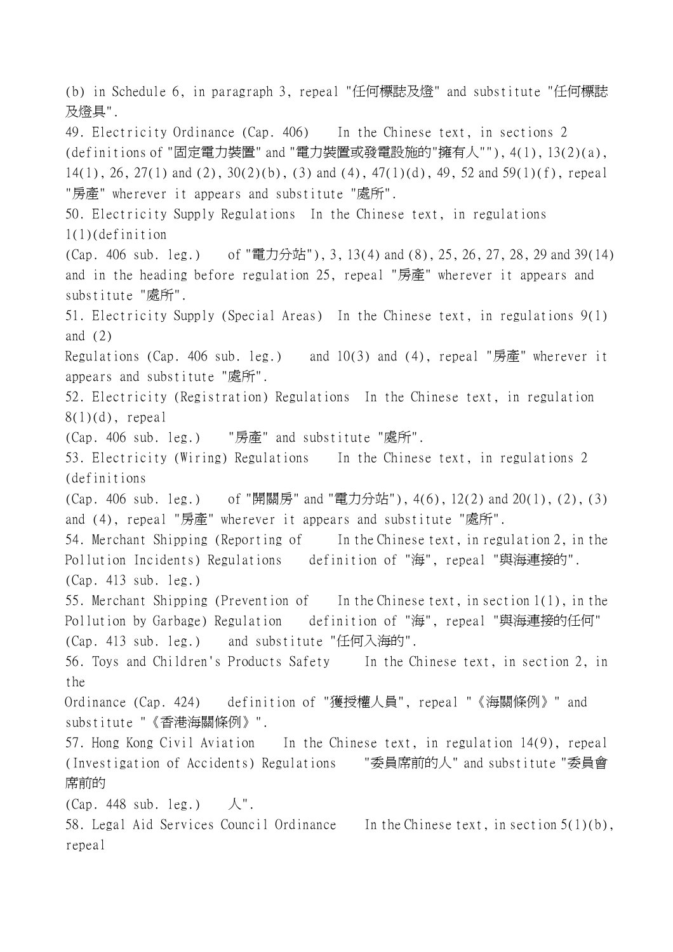(b) in Schedule 6, in paragraph 3, repeal "任何標誌及燈" and substitute "任何標誌 及燈具". 49. Electricity Ordinance (Cap. 406) In the Chinese text, in sections 2 (definitions of "固定電力裝置" and "電力裝置或發電設施的"擁有㆟""), 4(1), 13(2)(a), 14(1), 26, 27(1) and (2), 30(2)(b), (3) and (4), 47(1)(d), 49, 52 and 59(1)(f), repeal "房產" wherever it appears and substitute "處所". 50. Electricity Supply Regulations In the Chinese text, in regulations 1(1)(definition (Cap. 406 sub. leg.) of "電力分站"), 3, 13(4) and (8), 25, 26, 27, 28, 29 and 39(14) and in the heading before regulation 25, repeal "房產" wherever it appears and substitute "處所". 51. Electricity Supply (Special Areas) In the Chinese text, in regulations 9(1) and  $(2)$ Regulations (Cap. 406 sub. leg.) and  $10(3)$  and  $(4)$ , repeal "房產" wherever it appears and substitute "處所". 52. Electricity (Registration) Regulations In the Chinese text, in regulation  $8(1)(d)$ , repeal (Cap. 406 sub. leg.) "房產" and substitute "處所". 53. Electricity (Wiring) Regulations In the Chinese text, in regulations 2 (definitions (Cap. 406 sub. leg.) of "開關房" and "電力分站"), 4(6), 12(2) and 20(1), (2), (3) and (4), repeal "房產" wherever it appears and substitute "處所". 54. Merchant Shipping (Reporting of In the Chinese text, in regulation 2, in the Pollution Incidents) Regulations definition of "海", repeal "與海連接的". (Cap. 413 sub. leg.) 55. Merchant Shipping (Prevention of In the Chinese text, in section 1(1), in the Pollution by Garbage) Regulation definition of "海", repeal "與海連接的任何" (Cap. 413 sub. leg.) and substitute "任何入海的". 56. Toys and Children's Products Safety In the Chinese text, in section 2, in the Ordinance (Cap. 424) definition of "獲授權㆟員", repeal "《海關條例》" and substitute "《香港海關條例》". 57. Hong Kong Civil Aviation In the Chinese text, in regulation 14(9), repeal (Investigation of Accidents) Regulations "委員席前的㆟" and substitute "委員會 席前的  $(Cap. 448 sub. leg.) \quad \mathcal{A}$ ". 58. Legal Aid Services Council Ordinance In the Chinese text, in section 5(1)(b), repeal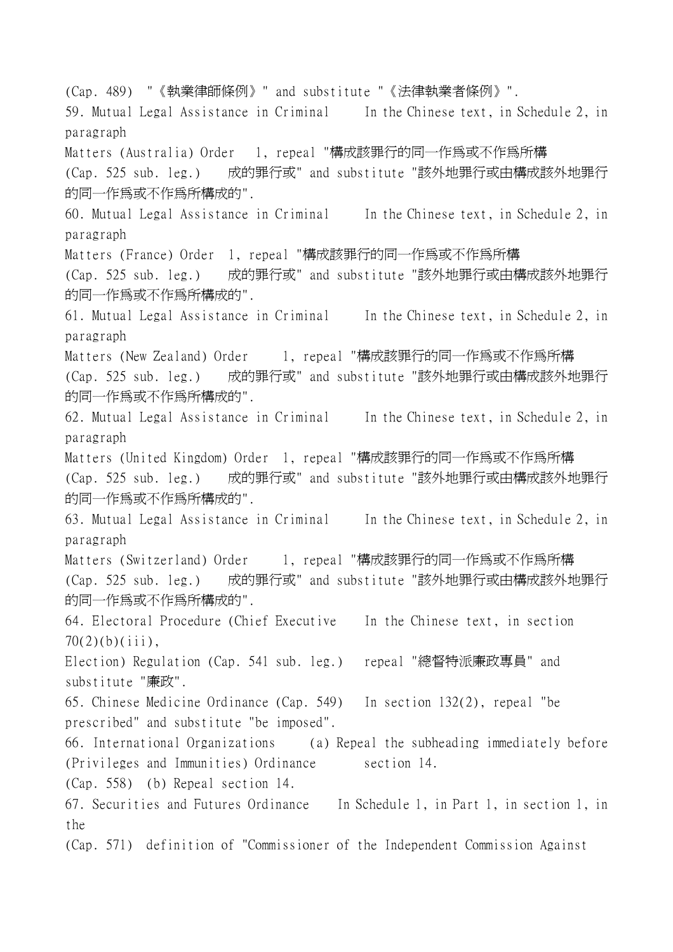(Cap. 489) "《執業律師條例》" and substitute "《法律執業者條例》". 59. Mutual Legal Assistance in Criminal In the Chinese text, in Schedule 2, in paragraph Matters (Australia) Order 1, repeal "構成該罪行的同一作爲或不作爲所構 (Cap. 525 sub. leg.) 成的罪行或" and substitute "該外地罪行或由構成該外地罪行 的同一作為或不作為所構成的". 60. Mutual Legal Assistance in Criminal In the Chinese text, in Schedule 2, in paragraph Matters (France) Order 1, repeal "構成該罪行的同一作為或不作為所構 (Cap. 525 sub. leg.) 成的罪行或" and substitute "該外地罪行或由構成該外地罪行 的同一作為或不作為所構成的". 61. Mutual Legal Assistance in Criminal In the Chinese text, in Schedule 2, in paragraph Matters (New Zealand) Order 1, repeal "構成該罪行的同一作為或不作爲所構 (Cap. 525 sub. leg.) 成的罪行或" and substitute "該外地罪行或由構成該外地罪行 的同一作為或不作為所構成的". 62. Mutual Legal Assistance in Criminal In the Chinese text, in Schedule 2, in paragraph Matters (United Kingdom) Order 1, repeal "構成該罪行的同一作為或不作爲所構 (Cap. 525 sub. leg.) 成的罪行或" and substitute "該外地罪行或由構成該外地罪行 的同一作爲或不作爲所構成的". 63. Mutual Legal Assistance in Criminal In the Chinese text, in Schedule 2, in paragraph Matters (Switzerland) Order 1, repeal "構成該罪行的同一作為或不作爲所構 (Cap. 525 sub. leg.) 成的罪行或" and substitute "該外地罪行或由構成該外地罪行 的同一作為或不作為所構成的". 64. Electoral Procedure (Chief Executive In the Chinese text, in section  $70(2)(b)(iii)$ , Election) Regulation (Cap. 541 sub. leg.) repeal "總督特派廉政專員" and substitute "廉政". 65. Chinese Medicine Ordinance (Cap. 549) In section 132(2), repeal "be prescribed" and substitute "be imposed". 66. International Organizations (a) Repeal the subheading immediately before (Privileges and Immunities) Ordinance section 14. (Cap. 558) (b) Repeal section 14. 67. Securities and Futures Ordinance In Schedule 1, in Part 1, in section 1, in the (Cap. 571) definition of "Commissioner of the Independent Commission Against